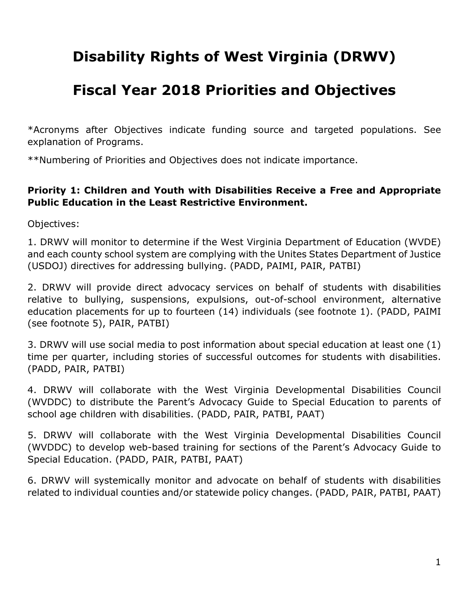# **Disability Rights of West Virginia (DRWV)**

## **Fiscal Year 2018 Priorities and Objectives**

\*Acronyms after Objectives indicate funding source and targeted populations. See explanation of Programs.

\*\*Numbering of Priorities and Objectives does not indicate importance.

#### **Priority 1: Children and Youth with Disabilities Receive a Free and Appropriate Public Education in the Least Restrictive Environment.**

Objectives:

1. DRWV will monitor to determine if the West Virginia Department of Education (WVDE) and each county school system are complying with the Unites States Department of Justice (USDOJ) directives for addressing bullying. (PADD, PAIMI, PAIR, PATBI)

2. DRWV will provide direct advocacy services on behalf of students with disabilities relative to bullying, suspensions, expulsions, out-of-school environment, alternative education placements for up to fourteen (14) individuals (see footnote 1). (PADD, PAIMI (see footnote 5), PAIR, PATBI)

3. DRWV will use social media to post information about special education at least one (1) time per quarter, including stories of successful outcomes for students with disabilities. (PADD, PAIR, PATBI)

4. DRWV will collaborate with the West Virginia Developmental Disabilities Council (WVDDC) to distribute the Parent's Advocacy Guide to Special Education to parents of school age children with disabilities. (PADD, PAIR, PATBI, PAAT)

5. DRWV will collaborate with the West Virginia Developmental Disabilities Council (WVDDC) to develop web-based training for sections of the Parent's Advocacy Guide to Special Education. (PADD, PAIR, PATBI, PAAT)

6. DRWV will systemically monitor and advocate on behalf of students with disabilities related to individual counties and/or statewide policy changes. (PADD, PAIR, PATBI, PAAT)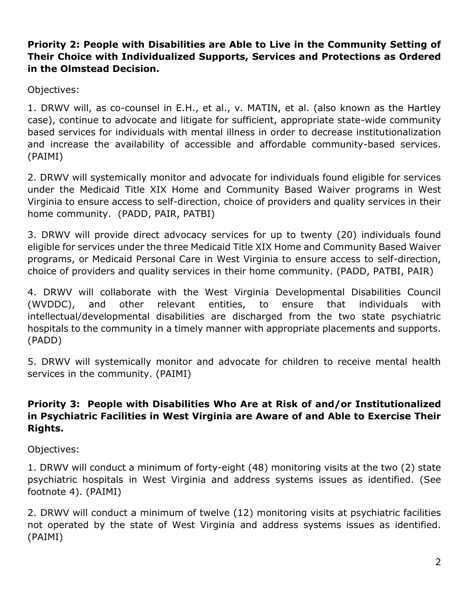#### **Priority 2: People with Disabilities are Able to Live in the Community Setting of Their Choice with Individualized Supports, Services and Protections as Ordered in the Olmstead Decision.**

Objectives:

1. DRWV will, as co-counsel in E.H., et al., v. MATIN, et al. (also known as the Hartley case), continue to advocate and litigate for sufficient, appropriate state-wide community based services for individuals with mental illness in order to decrease institutionalization and increase the availability of accessible and affordable community-based services. (PAIMI)

2. DRWV will systemically monitor and advocate for individuals found eligible for services under the Medicaid Title XIX Home and Community Based Waiver programs in West Virginia to ensure access to self-direction, choice of providers and quality services in their home community. (PADD, PAIR, PATBI)

3. DRWV will provide direct advocacy services for up to twenty (20) individuals found eligible for services under the three Medicaid Title XIX Home and Community Based Waiver programs, or Medicaid Personal Care in West Virginia to ensure access to self-direction, choice of providers and quality services in their home community. (PADD, PATBI, PAIR)

4. DRWV will collaborate with the West Virginia Developmental Disabilities Council (WVDDC), and other relevant entities, to ensure that individuals with intellectual/developmental disabilities are discharged from the two state psychiatric hospitals to the community in a timely manner with appropriate placements and supports. (PADD)

5. DRWV will systemically monitor and advocate for children to receive mental health services in the community. (PAIMI)

#### **Priority 3: People with Disabilities Who Are at Risk of and/or Institutionalized in Psychiatric Facilities in West Virginia are Aware of and Able to Exercise Their Rights.**

Objectives:

1. DRWV will conduct a minimum of forty-eight (48) monitoring visits at the two (2) state psychiatric hospitals in West Virginia and address systems issues as identified. (See footnote 4). (PAIMI)

2. DRWV will conduct a minimum of twelve (12) monitoring visits at psychiatric facilities not operated by the state of West Virginia and address systems issues as identified. (PAIMI)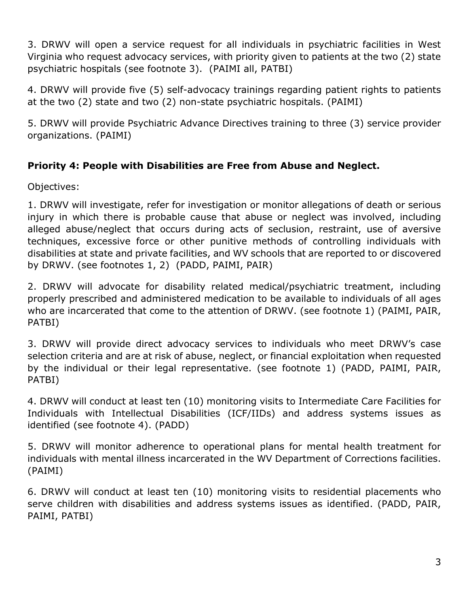3. DRWV will open a service request for all individuals in psychiatric facilities in West Virginia who request advocacy services, with priority given to patients at the two (2) state psychiatric hospitals (see footnote 3). (PAIMI all, PATBI)

4. DRWV will provide five (5) self-advocacy trainings regarding patient rights to patients at the two (2) state and two (2) non-state psychiatric hospitals. (PAIMI)

5. DRWV will provide Psychiatric Advance Directives training to three (3) service provider organizations. (PAIMI)

### **Priority 4: People with Disabilities are Free from Abuse and Neglect.**

Objectives:

1. DRWV will investigate, refer for investigation or monitor allegations of death or serious injury in which there is probable cause that abuse or neglect was involved, including alleged abuse/neglect that occurs during acts of seclusion, restraint, use of aversive techniques, excessive force or other punitive methods of controlling individuals with disabilities at state and private facilities, and WV schools that are reported to or discovered by DRWV. (see footnotes 1, 2) (PADD, PAIMI, PAIR)

2. DRWV will advocate for disability related medical/psychiatric treatment, including properly prescribed and administered medication to be available to individuals of all ages who are incarcerated that come to the attention of DRWV. (see footnote 1) (PAIMI, PAIR, PATBI)

3. DRWV will provide direct advocacy services to individuals who meet DRWV's case selection criteria and are at risk of abuse, neglect, or financial exploitation when requested by the individual or their legal representative. (see footnote 1) (PADD, PAIMI, PAIR, PATBI)

4. DRWV will conduct at least ten (10) monitoring visits to Intermediate Care Facilities for Individuals with Intellectual Disabilities (ICF/IIDs) and address systems issues as identified (see footnote 4). (PADD)

5. DRWV will monitor adherence to operational plans for mental health treatment for individuals with mental illness incarcerated in the WV Department of Corrections facilities. (PAIMI)

6. DRWV will conduct at least ten (10) monitoring visits to residential placements who serve children with disabilities and address systems issues as identified. (PADD, PAIR, PAIMI, PATBI)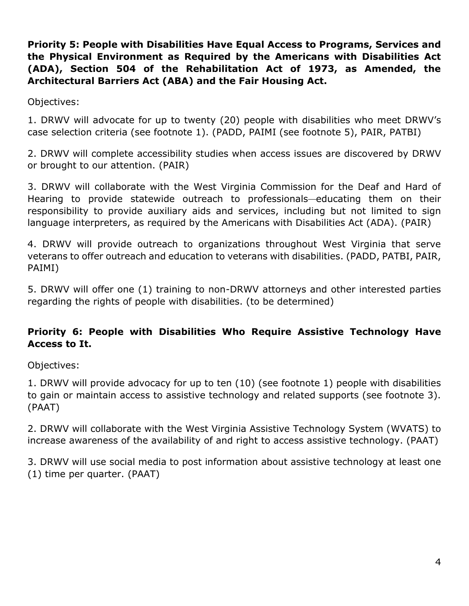**Priority 5: People with Disabilities Have Equal Access to Programs, Services and the Physical Environment as Required by the Americans with Disabilities Act (ADA), Section 504 of the Rehabilitation Act of 1973, as Amended, the Architectural Barriers Act (ABA) and the Fair Housing Act.**

Objectives:

1. DRWV will advocate for up to twenty (20) people with disabilities who meet DRWV's case selection criteria (see footnote 1). (PADD, PAIMI (see footnote 5), PAIR, PATBI)

2. DRWV will complete accessibility studies when access issues are discovered by DRWV or brought to our attention. (PAIR)

3. DRWV will collaborate with the West Virginia Commission for the Deaf and Hard of Hearing to provide statewide outreach to professionals—educating them on their responsibility to provide auxiliary aids and services, including but not limited to sign language interpreters, as required by the Americans with Disabilities Act (ADA). (PAIR)

4. DRWV will provide outreach to organizations throughout West Virginia that serve veterans to offer outreach and education to veterans with disabilities. (PADD, PATBI, PAIR, PAIMI)

5. DRWV will offer one (1) training to non-DRWV attorneys and other interested parties regarding the rights of people with disabilities. (to be determined)

#### **Priority 6: People with Disabilities Who Require Assistive Technology Have Access to It.**

Objectives:

1. DRWV will provide advocacy for up to ten (10) (see footnote 1) people with disabilities to gain or maintain access to assistive technology and related supports (see footnote 3). (PAAT)

2. DRWV will collaborate with the West Virginia Assistive Technology System (WVATS) to increase awareness of the availability of and right to access assistive technology. (PAAT)

3. DRWV will use social media to post information about assistive technology at least one (1) time per quarter. (PAAT)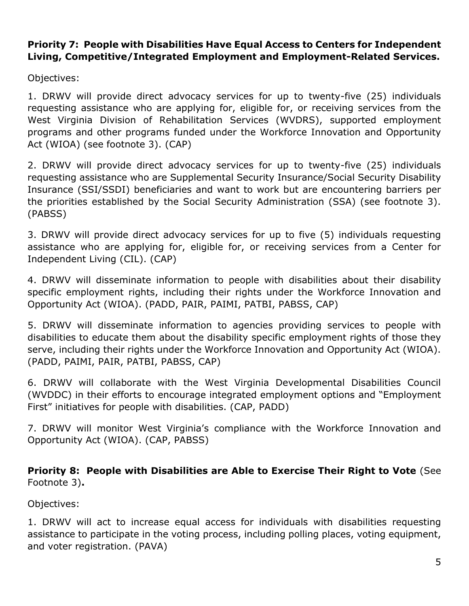#### **Priority 7: People with Disabilities Have Equal Access to Centers for Independent Living, Competitive/Integrated Employment and Employment-Related Services.**

Objectives:

1. DRWV will provide direct advocacy services for up to twenty-five (25) individuals requesting assistance who are applying for, eligible for, or receiving services from the West Virginia Division of Rehabilitation Services (WVDRS), supported employment programs and other programs funded under the Workforce Innovation and Opportunity Act (WIOA) (see footnote 3). (CAP)

2. DRWV will provide direct advocacy services for up to twenty-five (25) individuals requesting assistance who are Supplemental Security Insurance/Social Security Disability Insurance (SSI/SSDI) beneficiaries and want to work but are encountering barriers per the priorities established by the Social Security Administration (SSA) (see footnote 3). (PABSS)

3. DRWV will provide direct advocacy services for up to five (5) individuals requesting assistance who are applying for, eligible for, or receiving services from a Center for Independent Living (CIL). (CAP)

4. DRWV will disseminate information to people with disabilities about their disability specific employment rights, including their rights under the Workforce Innovation and Opportunity Act (WIOA). (PADD, PAIR, PAIMI, PATBI, PABSS, CAP)

5. DRWV will disseminate information to agencies providing services to people with disabilities to educate them about the disability specific employment rights of those they serve, including their rights under the Workforce Innovation and Opportunity Act (WIOA). (PADD, PAIMI, PAIR, PATBI, PABSS, CAP)

6. DRWV will collaborate with the West Virginia Developmental Disabilities Council (WVDDC) in their efforts to encourage integrated employment options and "Employment First" initiatives for people with disabilities. (CAP, PADD)

7. DRWV will monitor West Virginia's compliance with the Workforce Innovation and Opportunity Act (WIOA). (CAP, PABSS)

**Priority 8: People with Disabilities are Able to Exercise Their Right to Vote** (See Footnote 3)**.**

Objectives:

1. DRWV will act to increase equal access for individuals with disabilities requesting assistance to participate in the voting process, including polling places, voting equipment, and voter registration. (PAVA)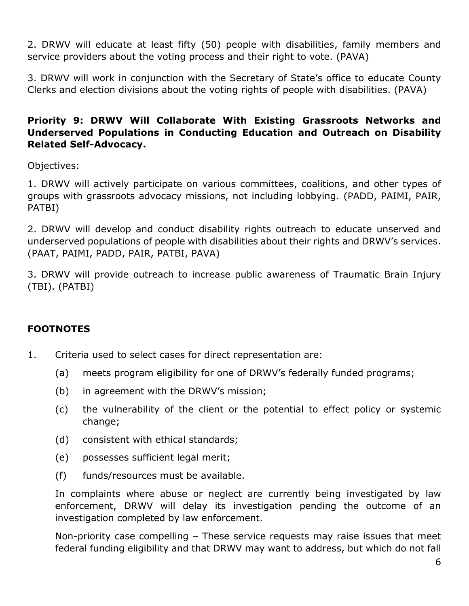2. DRWV will educate at least fifty (50) people with disabilities, family members and service providers about the voting process and their right to vote. (PAVA)

3. DRWV will work in conjunction with the Secretary of State's office to educate County Clerks and election divisions about the voting rights of people with disabilities. (PAVA)

#### **Priority 9: DRWV Will Collaborate With Existing Grassroots Networks and Underserved Populations in Conducting Education and Outreach on Disability Related Self-Advocacy.**

Objectives:

1. DRWV will actively participate on various committees, coalitions, and other types of groups with grassroots advocacy missions, not including lobbying. (PADD, PAIMI, PAIR, PATBI)

2. DRWV will develop and conduct disability rights outreach to educate unserved and underserved populations of people with disabilities about their rights and DRWV's services. (PAAT, PAIMI, PADD, PAIR, PATBI, PAVA)

3. DRWV will provide outreach to increase public awareness of Traumatic Brain Injury (TBI). (PATBI)

#### **FOOTNOTES**

- 1. Criteria used to select cases for direct representation are:
	- (a) meets program eligibility for one of DRWV's federally funded programs;
	- (b) in agreement with the DRWV's mission;
	- (c) the vulnerability of the client or the potential to effect policy or systemic change;
	- (d) consistent with ethical standards;
	- (e) possesses sufficient legal merit;
	- (f) funds/resources must be available.

In complaints where abuse or neglect are currently being investigated by law enforcement, DRWV will delay its investigation pending the outcome of an investigation completed by law enforcement.

Non-priority case compelling – These service requests may raise issues that meet federal funding eligibility and that DRWV may want to address, but which do not fall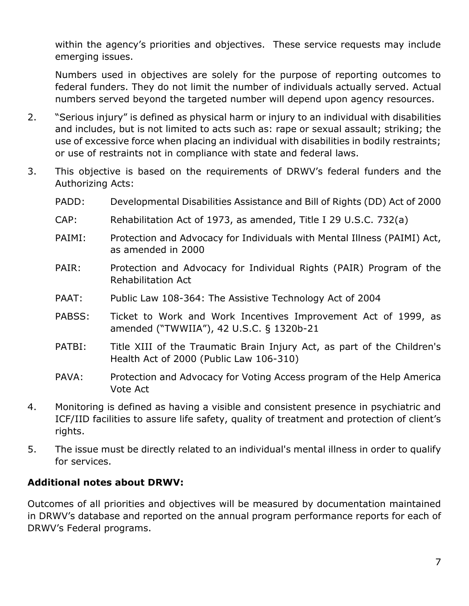within the agency's priorities and objectives. These service requests may include emerging issues.

Numbers used in objectives are solely for the purpose of reporting outcomes to federal funders. They do not limit the number of individuals actually served. Actual numbers served beyond the targeted number will depend upon agency resources.

- 2. "Serious injury" is defined as physical harm or injury to an individual with disabilities and includes, but is not limited to acts such as: rape or sexual assault; striking; the use of excessive force when placing an individual with disabilities in bodily restraints; or use of restraints not in compliance with state and federal laws.
- 3. This objective is based on the requirements of DRWV's federal funders and the Authorizing Acts:
	- PADD: Developmental Disabilities Assistance and Bill of Rights (DD) Act of 2000
	- CAP: Rehabilitation Act of 1973, as amended, Title I 29 U.S.C. 732(a)
	- PAIMI: Protection and Advocacy for Individuals with Mental Illness (PAIMI) Act, as amended in 2000
	- PAIR: Protection and Advocacy for Individual Rights (PAIR) Program of the Rehabilitation Act
	- PAAT: Public Law 108-364: The Assistive Technology Act of 2004
	- PABSS: Ticket to Work and Work Incentives Improvement Act of 1999, as amended ("TWWIIA"), 42 U.S.C. § 1320b-21
	- PATBI: Title XIII of the Traumatic Brain Injury Act, as part of the Children's Health Act of 2000 (Public Law 106-310)
	- PAVA: Protection and Advocacy for Voting Access program of the Help America Vote Act
- 4. Monitoring is defined as having a visible and consistent presence in psychiatric and ICF/IID facilities to assure life safety, quality of treatment and protection of client's rights.
- 5. The issue must be directly related to an individual's mental illness in order to qualify for services.

#### **Additional notes about DRWV:**

Outcomes of all priorities and objectives will be measured by documentation maintained in DRWV's database and reported on the annual program performance reports for each of DRWV's Federal programs.